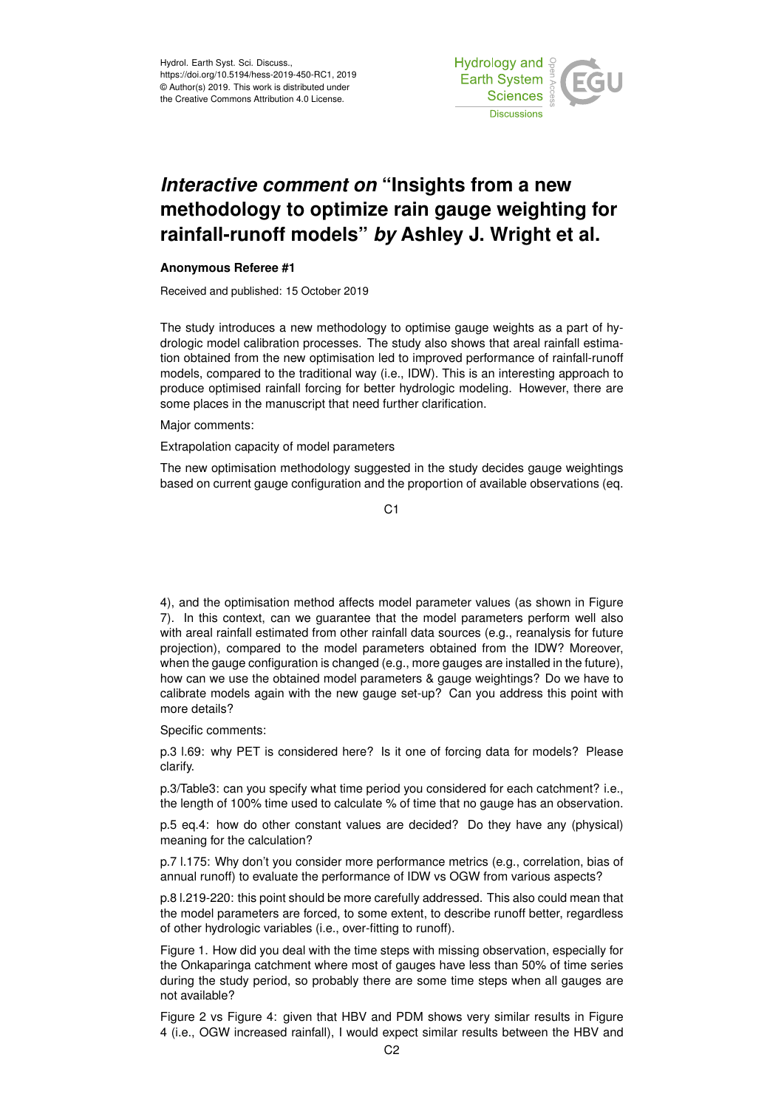

## *Interactive comment on* **"Insights from a new methodology to optimize rain gauge weighting for rainfall-runoff models"** *by* **Ashley J. Wright et al.**

## **Anonymous Referee #1**

Received and published: 15 October 2019

The study introduces a new methodology to optimise gauge weights as a part of hydrologic model calibration processes. The study also shows that areal rainfall estimation obtained from the new optimisation led to improved performance of rainfall-runoff models, compared to the traditional way (i.e., IDW). This is an interesting approach to produce optimised rainfall forcing for better hydrologic modeling. However, there are some places in the manuscript that need further clarification.

Major comments:

Extrapolation capacity of model parameters

The new optimisation methodology suggested in the study decides gauge weightings based on current gauge configuration and the proportion of available observations (eq.

C1

4), and the optimisation method affects model parameter values (as shown in Figure 7). In this context, can we guarantee that the model parameters perform well also with areal rainfall estimated from other rainfall data sources (e.g., reanalysis for future projection), compared to the model parameters obtained from the IDW? Moreover, when the gauge configuration is changed (e.g., more gauges are installed in the future), how can we use the obtained model parameters & gauge weightings? Do we have to calibrate models again with the new gauge set-up? Can you address this point with more details?

Specific comments:

p.3 l.69: why PET is considered here? Is it one of forcing data for models? Please clarify.

p.3/Table3: can you specify what time period you considered for each catchment? i.e., the length of 100% time used to calculate % of time that no gauge has an observation.

p.5 eq.4: how do other constant values are decided? Do they have any (physical) meaning for the calculation?

p.7 l.175: Why don't you consider more performance metrics (e.g., correlation, bias of annual runoff) to evaluate the performance of IDW vs OGW from various aspects?

p.8 l.219-220: this point should be more carefully addressed. This also could mean that the model parameters are forced, to some extent, to describe runoff better, regardless of other hydrologic variables (i.e., over-fitting to runoff).

Figure 1. How did you deal with the time steps with missing observation, especially for the Onkaparinga catchment where most of gauges have less than 50% of time series during the study period, so probably there are some time steps when all gauges are not available?

Figure 2 vs Figure 4: given that HBV and PDM shows very similar results in Figure 4 (i.e., OGW increased rainfall), I would expect similar results between the HBV and